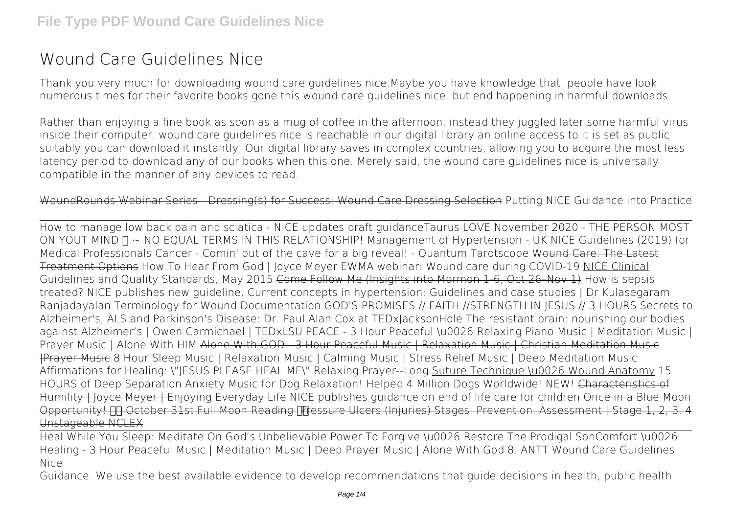## **Wound Care Guidelines Nice**

Thank you very much for downloading **wound care guidelines nice**.Maybe you have knowledge that, people have look numerous times for their favorite books gone this wound care guidelines nice, but end happening in harmful downloads.

Rather than enjoying a fine book as soon as a mug of coffee in the afternoon, instead they juggled later some harmful virus inside their computer. **wound care guidelines nice** is reachable in our digital library an online access to it is set as public suitably you can download it instantly. Our digital library saves in complex countries, allowing you to acquire the most less latency period to download any of our books when this one. Merely said, the wound care guidelines nice is universally compatible in the manner of any devices to read.

## WoundRounds Webinar Series - Dressing(s) for Success: Wound Care Dressing Selection **Putting NICE Guidance into Practice**

How to manage low back pain and sciatica - NICE updates draft guidance**Taurus LOVE November 2020 - THE PERSON MOST ON YOUT MIND ♉ ~ NO EQUAL TERMS IN THIS RELATIONSHIP! Management of Hypertension - UK NICE Guidelines (2019) for Medical Professionals** *Cancer - Comin' out of the cave for a big reveal! - Quantum Tarotscope* Wound Care: The Latest Treatment Options **How To Hear From God | Joyce Meyer** *EWMA webinar: Wound care during COVID-19* NICE Clinical Guidelines and Quality Standards, May 2015 Come Follow Me (Insights into Mormon 1-6, Oct 26–Nov 1) *How is sepsis treated? NICE publishes new guideline.* **Current concepts in hypertension: Guidelines and case studies | Dr Kulasegaram Ranjadayalan** *Terminology for Wound Documentation* GOD'S PROMISES // FAITH //STRENGTH IN JESUS // 3 HOURS **Secrets to Alzheimer's, ALS and Parkinson's Disease: Dr. Paul Alan Cox at TEDxJacksonHole** *The resistant brain: nourishing our bodies against Alzheimer's | Owen Carmichael | TEDxLSU PEACE - 3 Hour Peaceful \u0026 Relaxing Piano Music | Meditation Music | Prayer Music | Alone With HIM* Alone With GOD - 3 Hour Peaceful Music | Relaxation Music | Christian Meditation Music |Prayer Music *8 Hour Sleep Music | Relaxation Music | Calming Music | Stress Relief Music | Deep Meditation Music* Affirmations for Healing: \"JESUS PLEASE HEAL ME\" Relaxing Prayer--Long Suture Technique \u0026 Wound Anatomy *15 HOURS of Deep Separation Anxiety Music for Dog Relaxation! Helped 4 Million Dogs Worldwide! NEW!* Characteristics of Humility I Joyce Meyer I Enjoying Everyday Life NICE publishes quidance on end of life care for children Once in a Blue Moon Opportunity! IT October 31st Full Moon Reading Pressure Ulcers (Injuries) Stages, Prevention, Assessment | Stage 1, 2, 3, 4 Unstageable NCLEX

Heal While You Sleep: Meditate On God's Unbelievable Power To Forgive \u0026 Restore The Prodigal Son**Comfort \u0026 Healing - 3 Hour Peaceful Music | Meditation Music | Deep Prayer Music | Alone With God 8. ANTT** *Wound Care Guidelines Nice*

Guidance. We use the best available evidence to develop recommendations that guide decisions in health, public health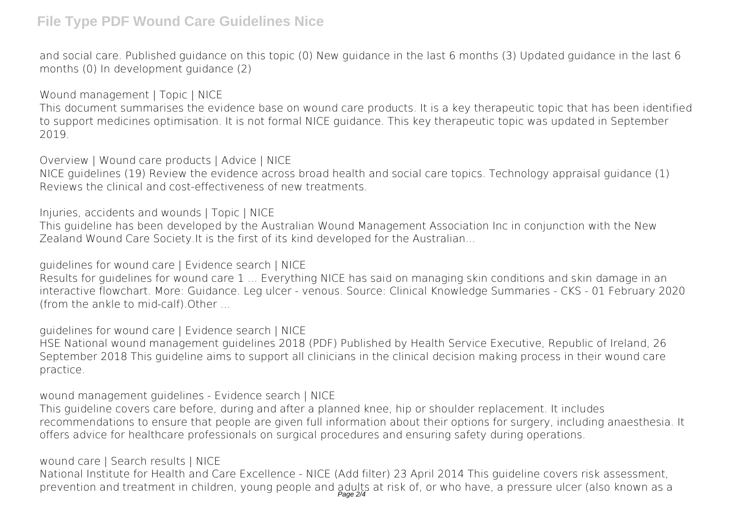## **File Type PDF Wound Care Guidelines Nice**

and social care. Published guidance on this topic (0) New guidance in the last 6 months (3) Updated guidance in the last 6 months (0) In development guidance (2)

*Wound management | Topic | NICE* This document summarises the evidence base on wound care products. It is a key therapeutic topic that has been identified to support medicines optimisation. It is not formal NICE guidance. This key therapeutic topic was updated in September 2019.

*Overview | Wound care products | Advice | NICE*

NICE guidelines (19) Review the evidence across broad health and social care topics. Technology appraisal guidance (1) Reviews the clinical and cost-effectiveness of new treatments.

*Injuries, accidents and wounds | Topic | NICE*

This guideline has been developed by the Australian Wound Management Association Inc in conjunction with the New Zealand Wound Care Society.It is the first of its kind developed for the Australian...

*guidelines for wound care | Evidence search | NICE*

Results for guidelines for wound care 1 ... Everything NICE has said on managing skin conditions and skin damage in an interactive flowchart. More: Guidance. Leg ulcer - venous. Source: Clinical Knowledge Summaries - CKS - 01 February 2020 (from the ankle to mid-calf).Other ...

*guidelines for wound care | Evidence search | NICE*

HSE National wound management guidelines 2018 (PDF) Published by Health Service Executive, Republic of Ireland, 26 September 2018 This guideline aims to support all clinicians in the clinical decision making process in their wound care practice.

*wound management guidelines - Evidence search | NICE*

This guideline covers care before, during and after a planned knee, hip or shoulder replacement. It includes recommendations to ensure that people are given full information about their options for surgery, including anaesthesia. It offers advice for healthcare professionals on surgical procedures and ensuring safety during operations.

*wound care | Search results | NICE*

National Institute for Health and Care Excellence - NICE (Add filter) 23 April 2014 This guideline covers risk assessment, prevention and treatment in children, young people and adults at risk of, or who have, a pressure ulcer (also known as a<br>Page 2/4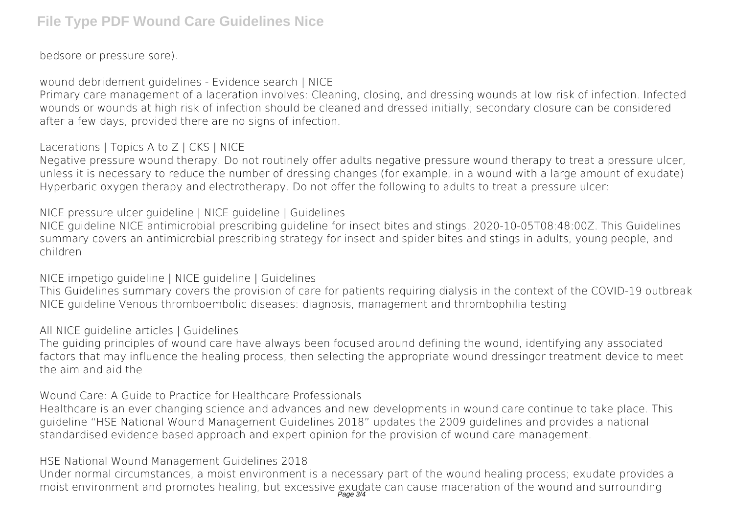bedsore or pressure sore).

*wound debridement guidelines - Evidence search | NICE*

Primary care management of a laceration involves: Cleaning, closing, and dressing wounds at low risk of infection. Infected wounds or wounds at high risk of infection should be cleaned and dressed initially; secondary closure can be considered after a few days, provided there are no signs of infection.

*Lacerations | Topics A to Z | CKS | NICE*

Negative pressure wound therapy. Do not routinely offer adults negative pressure wound therapy to treat a pressure ulcer, unless it is necessary to reduce the number of dressing changes (for example, in a wound with a large amount of exudate) Hyperbaric oxygen therapy and electrotherapy. Do not offer the following to adults to treat a pressure ulcer:

*NICE pressure ulcer guideline | NICE guideline | Guidelines*

NICE guideline NICE antimicrobial prescribing guideline for insect bites and stings. 2020-10-05T08:48:00Z. This Guidelines summary covers an antimicrobial prescribing strategy for insect and spider bites and stings in adults, young people, and children

*NICE impetigo guideline | NICE guideline | Guidelines*

This Guidelines summary covers the provision of care for patients requiring dialysis in the context of the COVID-19 outbreak NICE guideline Venous thromboembolic diseases: diagnosis, management and thrombophilia testing

## *All NICE guideline articles | Guidelines*

The guiding principles of wound care have always been focused around defining the wound, identifying any associated factors that may influence the healing process, then selecting the appropriate wound dressingor treatment device to meet the aim and aid the

*Wound Care: A Guide to Practice for Healthcare Professionals*

Healthcare is an ever changing science and advances and new developments in wound care continue to take place. This guideline "HSE National Wound Management Guidelines 2018" updates the 2009 guidelines and provides a national standardised evidence based approach and expert opinion for the provision of wound care management.

*HSE National Wound Management Guidelines 2018*

Under normal circumstances, a moist environment is a necessary part of the wound healing process; exudate provides a moist environment and promotes healing, but excessive exudate can cause maceration of the wound and surrounding<br>Page 34